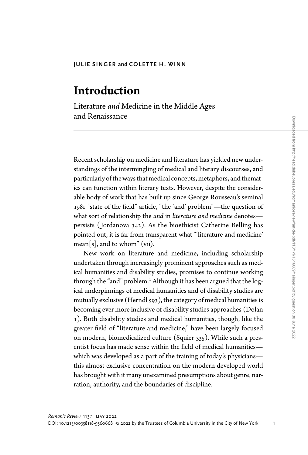# Introduction

Literature and Medicine in the Middle Ages and Renaissance

Recent scholarship on medicine and literature has yielded new understandings of the intermingling of medical and literary discourses, and particularly of the ways that medical concepts, metaphors, and thematics can function within literary texts. However, despite the considerable body of work that has built up since George Rousseau's seminal 1981 "state of the field" article, "the 'and' problem"—the question of what sort of relationship the and in literature and medicine denotespersists ( Jordanova 342). As the bioethicist Catherine Belling has pointed out, it is far from transparent what "'literature and medicine'  $mean[s]$ , and to whom" (vii).

New work on literature and medicine, including scholarship undertaken through increasingly prominent approaches such as medical humanities and disability studies, promises to continue working through the "and" problem.<sup>1</sup> Although it has been argued that the logical underpinnings of medical humanities and of disability studies are mutually exclusive (Herndl 593), the category of medical humanities is becoming ever more inclusive of disability studies approaches (Dolan 1). Both disability studies and medical humanities, though, like the greater field of "literature and medicine," have been largely focused on modern, biomedicalized culture (Squier 335). While such a presentist focus has made sense within the field of medical humanities which was developed as a part of the training of today's physicians this almost exclusive concentration on the modern developed world has brought with it many unexamined presumptions about genre, narration, authority, and the boundaries of discipline.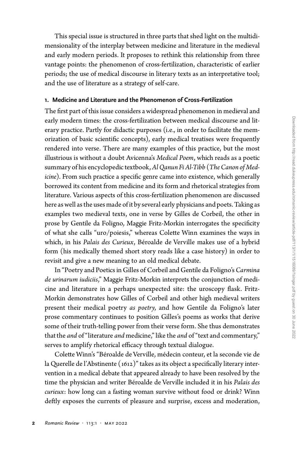This special issue is structured in three parts that shed light on the multidimensionality of the interplay between medicine and literature in the medieval and early modern periods. It proposes to rethink this relationship from three vantage points: the phenomenon of cross-fertilization, characteristic of earlier periods; the use of medical discourse in literary texts as an interpretative tool; and the use of literature as a strategy of self-care.

### 1. Medicine and Literature and the Phenomenon of Cross-Fertilization

The first part of this issue considers a widespread phenomenon in medieval and early modern times: the cross-fertilization between medical discourse and literary practice. Partly for didactic purposes (i.e., in order to facilitate the memorization of basic scientific concepts), early medical treatises were frequently rendered into verse. There are many examples of this practice, but the most illustrious is without a doubt Avicenna's Medical Poem, which reads as a poetic summary of his encyclopedic textbook, Al Qanun Fi Al-Tibb (The Canon of Medicine). From such practice a specific genre came into existence, which generally borrowed its content from medicine and its form and rhetorical strategies from literature. Various aspects of this cross-fertilization phenomenon are discussed here as well as the uses made of it by several early physicians and poets. Taking as examples two medieval texts, one in verse by Gilles de Corbeil, the other in prose by Gentile da Foligno, Maggie Fritz-Morkin interrogates the specificity of what she calls "uro/poiesis," whereas Colette Winn examines the ways in which, in his Palais des Curieux, Béroalde de Verville makes use of a hybrid form (his medically themed short story reads like a case history) in order to revisit and give a new meaning to an old medical debate.

In "Poetry and Poetics in Gilles of Corbeil and Gentile da Foligno's Carmina de urinarum iudiciis," Maggie Fritz-Morkin interprets the conjunction of medicine and literature in a perhaps unexpected site: the uroscopy flask. Fritz-Morkin demonstrates how Gilles of Corbeil and other high medieval writers present their medical poetry as poetry, and how Gentile da Foligno's later prose commentary continues to position Gilles's poems as works that derive some of their truth-telling power from their verse form. She thus demonstrates that the and of "literature and medicine," like the and of "text and commentary," serves to amplify rhetorical efficacy through textual dialogue.

Colette Winn's "Béroalde de Verville, médecin conteur, et la seconde vie de la Querelle de l'Abstinente (1612)" takes as its object a specifically literary intervention in a medical debate that appeared already to have been resolved by the time the physician and writer Béroalde de Verville included it in his Palais des curieux: how long can a fasting woman survive without food or drink? Winn deftly exposes the currents of pleasure and surprise, excess and moderation,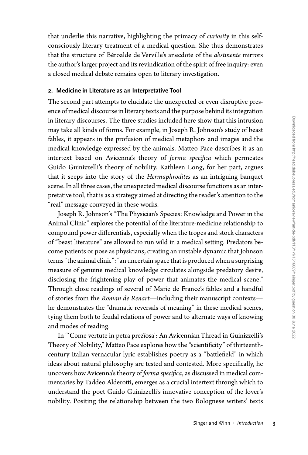that underlie this narrative, highlighting the primacy of *curiosity* in this selfconsciously literary treatment of a medical question. She thus demonstrates that the structure of Béroalde de Verville's anecdote of the abstinente mirrors the author's larger project and its revindication of the spirit of free inquiry: even a closed medical debate remains open to literary investigation.

## 2. Medicine in Literature as an Interpretative Tool

The second part attempts to elucidate the unexpected or even disruptive presence of medical discourse in literary texts and the purpose behind its integration in literary discourses. The three studies included here show that this intrusion may take all kinds of forms. For example, in Joseph R. Johnson's study of beast fables, it appears in the profusion of medical metaphors and images and the medical knowledge expressed by the animals. Matteo Pace describes it as an intertext based on Avicenna's theory of forma specifica which permeates Guido Guinizzelli's theory of nobility. Kathleen Long, for her part, argues that it seeps into the story of the Hermaphrodites as an intriguing banquet scene. In all three cases, the unexpected medical discourse functions as an interpretative tool, that is as a strategy aimed at directing the reader's attention to the "real" message conveyed in these works.

Joseph R. Johnson's "The Physician's Species: Knowledge and Power in the Animal Clinic" explores the potential of the literature-medicine relationship to compound power differentials, especially when the tropes and stock characters of "beast literature" are allowed to run wild in a medical setting. Predators become patients or pose as physicians, creating an unstable dynamic that Johnson terms "the animal clinic": "an uncertain space that is produced when a surprising measure of genuine medical knowledge circulates alongside predatory desire, disclosing the frightening play of power that animates the medical scene." Through close readings of several of Marie de France's fables and a handful of stories from the Roman de Renart—including their manuscript contexts he demonstrates the "dramatic reversals of meaning" in these medical scenes, tying them both to feudal relations of power and to alternate ways of knowing and modes of reading.

In "'Come vertute in petra prezïosa': An Avicennian Thread in Guinizzelli's Theory of Nobility," Matteo Pace explores how the "scientificity" of thirteenthcentury Italian vernacular lyric establishes poetry as a "battlefield" in which ideas about natural philosophy are tested and contested. More specifically, he uncovers how Avicenna's theory of forma specifica, as discussed in medical commentaries by Taddeo Alderotti, emerges as a crucial intertext through which to understand the poet Guido Guinizzelli's innovative conception of the lover's nobility. Positing the relationship between the two Bolognese writers' texts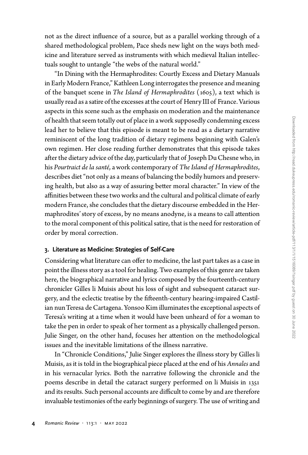not as the direct influence of a source, but as a parallel working through of a shared methodological problem, Pace sheds new light on the ways both medicine and literature served as instruments with which medieval Italian intellectuals sought to untangle "the webs of the natural world."

"In Dining with the Hermaphrodites: Courtly Excess and Dietary Manuals in Early Modern France,"Kathleen Long interrogates the presence and meaning of the banquet scene in The Island of Hermaphrodites (1605), a text which is usually read as a satire of the excesses atthe court of Henry III of France. Various aspects in this scene such as the emphasis on moderation and the maintenance of health that seem totally out of place in a work supposedly condemning excess lead her to believe that this episode is meant to be read as a dietary narrative reminiscent of the long tradition of dietary regimens beginning with Galen's own regimen. Her close reading further demonstrates that this episode takes after the dietary advice of the day, particularly that of Joseph Du Chesne who, in his Pourtraict de la santé, a work contemporary of The Island of Hermaphrodites, describes diet"not only as a means of balancing the bodily humors and preserving health, but also as a way of assuring better moral character." In view of the affinities between these two works and the cultural and political climate of early modern France, she concludes that the dietary discourse embedded in the Hermaphrodites'story of excess, by no means anodyne, is a means to call attention to the moral component of this political satire, that is the need for restoration of order by moral correction.

# 3. Literature as Medicine: Strategies of Self-Care

Considering what literature can offer to medicine, the last part takes as a case in point the illness story as a tool for healing. Two examples of this genre are taken here, the biographical narrative and lyrics composed by the fourteenth-century chronicler Gilles li Muisis about his loss of sight and subsequent cataract surgery, and the eclectic treatise by the fifteenth-century hearing-impaired Castilian nunTeresa de Cartagena. Yonsoo Kim illuminates the exceptional aspects of Teresa's writing at a time when it would have been unheard of for a woman to take the pen in order to speak of her torment as a physically challenged person. Julie Singer, on the other hand, focuses her attention on the methodological issues and the inevitable limitations of the illness narrative.

In "Chronicle Conditions," Julie Singer explores the illness story by Gilles li Muisis, as it is told in the biographical piece placed at the end of his Annales and in his vernacular lyrics. Both the narrative following the chronicle and the poems describe in detail the cataract surgery performed on li Muisis in 1351 and its results. Such personal accounts are difficult to come by and are therefore invaluable testimonies of the early beginnings of surgery. The use of writing and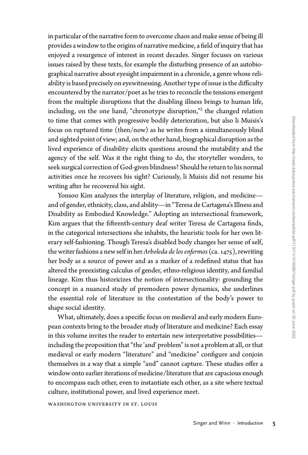in particular of the narrative form to overcome chaos and make sense of being ill provides awindow to the origins of narrative medicine, a field of inquiry that has enjoyed a resurgence of interest in recent decades. Singer focuses on various issues raised by these texts, for example the disturbing presence of an autobiographical narrative about eyesight impairment in a chronicle, a genre whose reliability is based precisely on eyewitnessing. Another type of issue is the difficulty encountered by the narrator/poet as he tries to reconcile the tensions emergent from the multiple disruptions that the disabling illness brings to human life, including, on the one hand, "chronotype disruption," <sup>2</sup> the changed relation to time that comes with progressive bodily deterioration, but also li Muisis's focus on ruptured time (then/now) as he writes from a simultaneously blind and sighted point of view; and, onthe other hand, biographical disruption as the lived experience of disability elicits questions around the mutability and the agency of the self. Was it the right thing to do, the storyteller wonders, to seek surgical correction of God-given blindness? Should he return to his normal activities once he recovers his sight? Curiously, li Muisis did not resume his writing after he recovered his sight.

Yonsoo Kim analyzes the interplay of literature, religion, and medicine and of gender, ethnicity, class, and ability—in "Teresa de Cartagena's Illness and Disability as Embodied Knowledge." Adopting an intersectional framework, Kim argues that the fifteenth-century deaf writer Teresa de Cartagena finds, in the categorical intersections she inhabits, the heuristic tools for her own literary self-fashioning. Though Teresa's disabled body changes her sense of self, the writer fashions a new self in her Arboleda de los enfermos (ca. 1475), rewriting her body as a source of power and as a marker of a redefined status that has altered the preexisting calculus of gender, ethno-religious identity, and familial lineage. Kim thus historicizes the notion of intersectionality: grounding the concept in a nuanced study of premodern power dynamics, she underlines the essential role of literature in the contestation of the body's power to shape social identity.

What, ultimately, does a specific focus on medieval and early modern European contexts bring to the broader study of literature and medicine? Each essay in this volume invites the reader to entertain new interpretative possibilities including the proposition that "the 'and' problem" is not a problem at all, or that medieval or early modern "literature" and "medicine" configure and conjoin themselves in a way that a simple "and" cannot capture. These studies offer a window onto earlier iterations of medicine/literature that are capacious enough to encompass each other, even to instantiate each other, as a site where textual culture, institutional power, and lived experience meet.